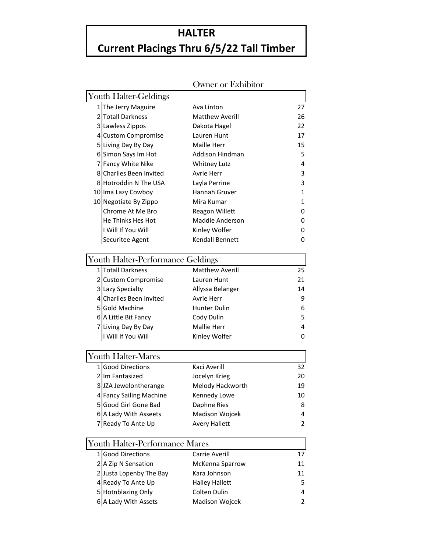## **HALTER**

## **Current Placings Thru 6/5/22 Tall Timber**

|                                       | Owner or Exmpilor      |              |
|---------------------------------------|------------------------|--------------|
| Youth Halter-Geldings                 |                        |              |
| 1 The Jerry Maguire                   | Ava Linton             | 27           |
| 2 Totall Darkness                     | <b>Matthew Averill</b> | 26           |
| 3 Lawless Zippos                      | Dakota Hagel           | 22           |
| 4 Custom Compromise                   | Lauren Hunt            | 17           |
| 5 Living Day By Day                   | <b>Maille Herr</b>     | 15           |
| 6 Simon Says Im Hot                   | <b>Addison Hindman</b> | 5            |
| 7 Fancy White Nike                    | <b>Whitney Lutz</b>    | 4            |
| 8 Charlies Been Invited               | Avrie Herr             | 3            |
| 8 Hotroddin N The USA                 | Layla Perrine          | 3            |
| 10 Ima Lazy Cowboy                    | Hannah Gruver          | 1            |
| 10 Negotiate By Zippo                 | Mira Kumar             | $\mathbf{1}$ |
| Chrome At Me Bro                      | Reagon Willett         | 0            |
| He Thinks Hes Hot                     | Maddie Anderson        | 0            |
| I Will If You Will                    | Kinley Wolfer          | 0            |
| Securitee Agent                       | Kendall Bennett        | 0            |
| Youth Halter-Performance Geldings     |                        |              |
| 1 Totall Darkness                     | <b>Matthew Averill</b> | 25           |
| 2 Custom Compromise                   | Lauren Hunt            | 21           |
| 3 Lazy Specialty                      | Allyssa Belanger       | 14           |
| 4 Charlies Been Invited               | Avrie Herr             | 9            |
| 5 Gold Machine                        | <b>Hunter Dulin</b>    | 6            |
| 6 A Little Bit Fancy                  | Cody Dulin             | 5            |
| 7 Living Day By Day                   | <b>Mallie Herr</b>     | 4            |
| I Will If You Will                    | Kinley Wolfer          | 0            |
| <b>Youth Halter-Mares</b>             |                        |              |
| 1 Good Directions                     | Kaci Averill           | 32           |
| 2 Im Fantasized                       | Jocelyn Krieg          | 20           |
| 3 JZA Jewelontherange                 | Melody Hackworth       | 19           |
| 4 Fancy Sailing Machine               | Kennedy Lowe           | 10           |
| 5Good Girl Gone Bad                   | Daphne Ries            | 8            |
| 6 A Lady With Asseets                 | Madison Wojcek         | 4            |
| 7 Ready To Ante Up                    | <b>Avery Hallett</b>   | 2            |
| <b>Youth Halter-Performance Mares</b> |                        |              |
| 1 Good Directions                     | Carrie Averill         | 17           |
| 2 A Zip N Sensation                   | McKenna Sparrow        | 11           |
| 2 Justa Lopenby The Bay               | Kara Johnson           | 11           |
| 4 Ready To Ante Up                    | <b>Hailey Hallett</b>  | 5            |
| 5 Hotnblazing Only                    | Colten Dulin           | 4            |
| 6 A Lady With Assets                  | Madison Wojcek         | 2            |
|                                       |                        |              |

## Owner or Fyhihita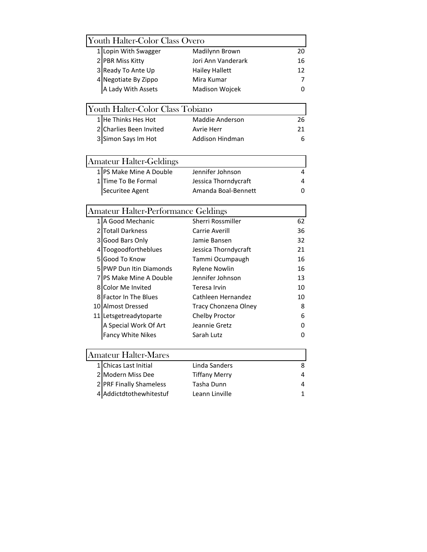| <b>Youth Halter-Color Class Overo</b> |                                            |                          |    |  |
|---------------------------------------|--------------------------------------------|--------------------------|----|--|
|                                       | 1 Lopin With Swagger                       | Madilynn Brown           | 20 |  |
|                                       | 2 PBR Miss Kitty                           | Jori Ann Vanderark       | 16 |  |
|                                       | 3 Ready To Ante Up                         | Hailey Hallett           | 12 |  |
|                                       | 4 Negotiate By Zippo                       | Mira Kumar               | 7  |  |
|                                       | A Lady With Assets                         | Madison Wojcek           | 0  |  |
|                                       | Youth Halter-Color Class Tobiano           |                          |    |  |
|                                       | 1 He Thinks Hes Hot                        | Maddie Anderson          | 26 |  |
|                                       | 2 Charlies Been Invited                    | Avrie Herr               | 21 |  |
|                                       | 3 Simon Says Im Hot                        | Addison Hindman          | 6  |  |
|                                       | <b>Amateur Halter-Geldings</b>             |                          |    |  |
|                                       | 1 PS Make Mine A Double                    | Jennifer Johnson         | 4  |  |
|                                       | 1 Time To Be Formal                        | Jessica Thorndycraft     | 4  |  |
|                                       | Securitee Agent                            | Amanda Boal-Bennett      | 0  |  |
|                                       | <b>Amateur Halter-Performance Geldings</b> |                          |    |  |
|                                       | 1 A Good Mechanic                          | <b>Sherri Rossmiller</b> | 62 |  |
|                                       | 2 Totall Darkness                          | Carrie Averill           | 36 |  |
|                                       | 3 Good Bars Only                           | Jamie Bansen             | 32 |  |
|                                       | 4 Toogoodfortheblues                       | Jessica Thorndycraft     | 21 |  |
|                                       | 5 Good To Know                             | Tammi Ocumpaugh          | 16 |  |
|                                       | <b>5 PWP Dun Itin Diamonds</b>             | <b>Rylene Nowlin</b>     | 16 |  |
|                                       | <b>7 PS Make Mine A Double</b>             | Jennifer Johnson         | 13 |  |
|                                       | 8 Color Me Invited                         | Teresa Irvin             | 10 |  |
|                                       | <b>8</b> Factor In The Blues               | Cathleen Hernandez       | 10 |  |
|                                       | 10 Almost Dressed                          | Tracy Chonzena Olney     | 8  |  |
|                                       | 11 Letsgetreadytoparte                     | Chelby Proctor           | 6  |  |
|                                       | A Special Work Of Art                      | Jeannie Gretz            | 0  |  |
|                                       | Fancy White Nikes                          | Sarah Lutz               | 0  |  |
|                                       | <b>Amateur Halter-Mares</b>                |                          |    |  |
|                                       | 1 Chicas Last Initial                      | Linda Sanders            | 8  |  |
|                                       | 2 Modern Miss Dee                          | <b>Tiffany Merry</b>     | 4  |  |
|                                       | 2 PRF Finally Shameless                    | Tasha Dunn               | 4  |  |
|                                       | 4 Addictdtothewhitestuf                    | Leann Linville           | 1  |  |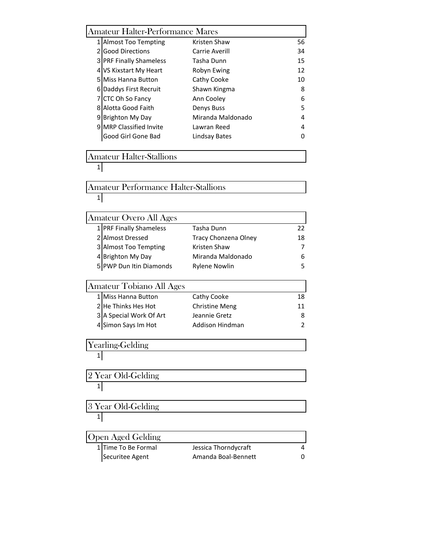| <b>Amateur Halter-Performance Mares</b>     |                       |    |
|---------------------------------------------|-----------------------|----|
| 1 Almost Too Tempting                       | Kristen Shaw          | 56 |
| 2 Good Directions                           | Carrie Averill        | 34 |
| 3 PRF Finally Shameless                     | Tasha Dunn            | 15 |
| 4 VS Kixstart My Heart                      | Robyn Ewing           | 12 |
| <b>5 Miss Hanna Button</b>                  | Cathy Cooke           | 10 |
| 6 Daddys First Recruit                      | Shawn Kingma          | 8  |
| 7 CTC Oh So Fancy                           | Ann Cooley            | 6  |
| 8 Alotta Good Faith                         | Denys Buss            | 5  |
| 9 Brighton My Day                           | Miranda Maldonado     | 4  |
| 9 MRP Classified Invite                     | Lawran Reed           | 4  |
| Good Girl Gone Bad                          | <b>Lindsay Bates</b>  | 0  |
| <b>Amateur Halter-Stallions</b>             |                       |    |
| 1                                           |                       |    |
| <b>Amateur Performance Halter-Stallions</b> |                       |    |
| 1                                           |                       |    |
|                                             |                       |    |
| Amateur Overo All Ages                      |                       |    |
| 1 PRF Finally Shameless                     | Tasha Dunn            | 22 |
| 2 Almost Dressed                            | Tracy Chonzena Olney  | 18 |
| 3 Almost Too Tempting                       | Kristen Shaw          | 7  |
| 4 Brighton My Day                           | Miranda Maldonado     | 6  |
| 5 PWP Dun Itin Diamonds                     | <b>Rylene Nowlin</b>  | 5  |
| <b>Amateur Tobiano All Ages</b>             |                       |    |
| 1 Miss Hanna Button                         | Cathy Cooke           | 18 |
| 2 He Thinks Hes Hot                         | <b>Christine Meng</b> | 11 |
| 3 A Special Work Of Art                     | Jeannie Gretz         | 8  |
| 4 Simon Says Im Hot                         | Addison Hindman       | 2  |
| Yearling-Gelding                            |                       |    |
| 1                                           |                       |    |
| 2 Year Old-Gelding                          |                       |    |
| 11                                          |                       |    |
| 3 Year Old-Gelding                          |                       |    |
| $\mathbf{1}$                                |                       |    |
|                                             |                       |    |
| Open Aged Gelding                           |                       |    |
| 1 Time To Be Formal                         | Jessica Thorndycraft  | 4  |
| Securitee Agent                             | Amanda Boal-Bennett   | 0  |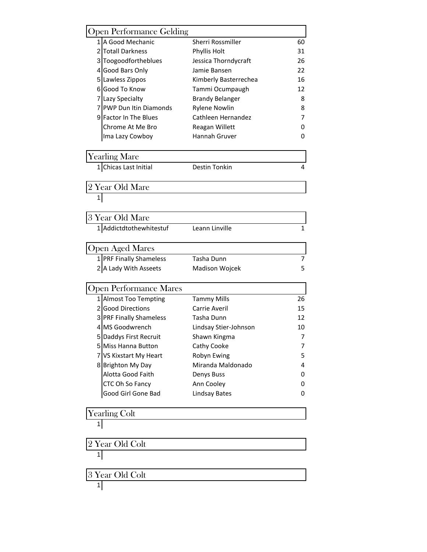| 1 A Good Mechanic<br>Sherri Rossmiller<br>60<br>2 Totall Darkness<br>Phyllis Holt<br>31<br>3 Toogoodfortheblues<br>26<br>Jessica Thorndycraft<br>4 Good Bars Only<br>Jamie Bansen<br>22<br>5 Lawless Zippos<br>Kimberly Basterrechea<br>16<br>6 Good To Know<br>Tammi Ocumpaugh<br>12<br>7 Lazy Specialty<br><b>Brandy Belanger</b><br>8<br>7 PWP Dun Itin Diamonds<br><b>Rylene Nowlin</b><br>8<br>9 Factor In The Blues<br>Cathleen Hernandez<br>7<br>Chrome At Me Bro<br>Reagan Willett<br>0<br>Hannah Gruver<br>Ima Lazy Cowboy<br>0<br><b>Yearling Mare</b><br>1 Chicas Last Initial<br>Destin Tonkin<br>4<br>2 Year Old Mare<br>1 <br>3 Year Old Mare<br>1 Addictdtothewhitestuf<br>Leann Linville<br>$\mathbf{1}$<br><b>Open Aged Mares</b><br>1 PRF Finally Shameless<br>7<br>Tasha Dunn<br>2 A Lady With Asseets<br>5<br>Madison Wojcek<br><b>Open Performance Mares</b><br>1 Almost Too Tempting<br><b>Tammy Mills</b><br>26<br>2 Good Directions<br>Carrie Averil<br>15<br>3 PRF Finally Shameless<br>Tasha Dunn<br>12<br>4 MS Goodwrench<br>Lindsay Stier-Johnson<br>10<br>5 Daddys First Recruit<br>Shawn Kingma<br>7<br>5 Miss Hanna Button<br>Cathy Cooke<br>7<br>7 VS Kixstart My Heart<br>Robyn Ewing<br>5<br>Miranda Maldonado<br>8 Brighton My Day<br>4<br>Alotta Good Faith<br>Denys Buss<br>0<br>CTC Oh So Fancy<br>Ann Cooley<br>0<br>Good Girl Gone Bad<br><b>Lindsay Bates</b><br>0<br><b>Yearling Colt</b><br>$1\vert$<br>2 Year Old Colt<br>1<br>3 Year Old Colt<br>$\mathbf{1}$ | <b>Open Performance Gelding</b> |  |
|------------------------------------------------------------------------------------------------------------------------------------------------------------------------------------------------------------------------------------------------------------------------------------------------------------------------------------------------------------------------------------------------------------------------------------------------------------------------------------------------------------------------------------------------------------------------------------------------------------------------------------------------------------------------------------------------------------------------------------------------------------------------------------------------------------------------------------------------------------------------------------------------------------------------------------------------------------------------------------------------------------------------------------------------------------------------------------------------------------------------------------------------------------------------------------------------------------------------------------------------------------------------------------------------------------------------------------------------------------------------------------------------------------------------------------------------------------------------------------------------------------|---------------------------------|--|
|                                                                                                                                                                                                                                                                                                                                                                                                                                                                                                                                                                                                                                                                                                                                                                                                                                                                                                                                                                                                                                                                                                                                                                                                                                                                                                                                                                                                                                                                                                            |                                 |  |
|                                                                                                                                                                                                                                                                                                                                                                                                                                                                                                                                                                                                                                                                                                                                                                                                                                                                                                                                                                                                                                                                                                                                                                                                                                                                                                                                                                                                                                                                                                            |                                 |  |
|                                                                                                                                                                                                                                                                                                                                                                                                                                                                                                                                                                                                                                                                                                                                                                                                                                                                                                                                                                                                                                                                                                                                                                                                                                                                                                                                                                                                                                                                                                            |                                 |  |
|                                                                                                                                                                                                                                                                                                                                                                                                                                                                                                                                                                                                                                                                                                                                                                                                                                                                                                                                                                                                                                                                                                                                                                                                                                                                                                                                                                                                                                                                                                            |                                 |  |
|                                                                                                                                                                                                                                                                                                                                                                                                                                                                                                                                                                                                                                                                                                                                                                                                                                                                                                                                                                                                                                                                                                                                                                                                                                                                                                                                                                                                                                                                                                            |                                 |  |
|                                                                                                                                                                                                                                                                                                                                                                                                                                                                                                                                                                                                                                                                                                                                                                                                                                                                                                                                                                                                                                                                                                                                                                                                                                                                                                                                                                                                                                                                                                            |                                 |  |
|                                                                                                                                                                                                                                                                                                                                                                                                                                                                                                                                                                                                                                                                                                                                                                                                                                                                                                                                                                                                                                                                                                                                                                                                                                                                                                                                                                                                                                                                                                            |                                 |  |
|                                                                                                                                                                                                                                                                                                                                                                                                                                                                                                                                                                                                                                                                                                                                                                                                                                                                                                                                                                                                                                                                                                                                                                                                                                                                                                                                                                                                                                                                                                            |                                 |  |
|                                                                                                                                                                                                                                                                                                                                                                                                                                                                                                                                                                                                                                                                                                                                                                                                                                                                                                                                                                                                                                                                                                                                                                                                                                                                                                                                                                                                                                                                                                            |                                 |  |
|                                                                                                                                                                                                                                                                                                                                                                                                                                                                                                                                                                                                                                                                                                                                                                                                                                                                                                                                                                                                                                                                                                                                                                                                                                                                                                                                                                                                                                                                                                            |                                 |  |
|                                                                                                                                                                                                                                                                                                                                                                                                                                                                                                                                                                                                                                                                                                                                                                                                                                                                                                                                                                                                                                                                                                                                                                                                                                                                                                                                                                                                                                                                                                            |                                 |  |
|                                                                                                                                                                                                                                                                                                                                                                                                                                                                                                                                                                                                                                                                                                                                                                                                                                                                                                                                                                                                                                                                                                                                                                                                                                                                                                                                                                                                                                                                                                            |                                 |  |
|                                                                                                                                                                                                                                                                                                                                                                                                                                                                                                                                                                                                                                                                                                                                                                                                                                                                                                                                                                                                                                                                                                                                                                                                                                                                                                                                                                                                                                                                                                            |                                 |  |
|                                                                                                                                                                                                                                                                                                                                                                                                                                                                                                                                                                                                                                                                                                                                                                                                                                                                                                                                                                                                                                                                                                                                                                                                                                                                                                                                                                                                                                                                                                            |                                 |  |
|                                                                                                                                                                                                                                                                                                                                                                                                                                                                                                                                                                                                                                                                                                                                                                                                                                                                                                                                                                                                                                                                                                                                                                                                                                                                                                                                                                                                                                                                                                            |                                 |  |
|                                                                                                                                                                                                                                                                                                                                                                                                                                                                                                                                                                                                                                                                                                                                                                                                                                                                                                                                                                                                                                                                                                                                                                                                                                                                                                                                                                                                                                                                                                            |                                 |  |
|                                                                                                                                                                                                                                                                                                                                                                                                                                                                                                                                                                                                                                                                                                                                                                                                                                                                                                                                                                                                                                                                                                                                                                                                                                                                                                                                                                                                                                                                                                            |                                 |  |
|                                                                                                                                                                                                                                                                                                                                                                                                                                                                                                                                                                                                                                                                                                                                                                                                                                                                                                                                                                                                                                                                                                                                                                                                                                                                                                                                                                                                                                                                                                            |                                 |  |
|                                                                                                                                                                                                                                                                                                                                                                                                                                                                                                                                                                                                                                                                                                                                                                                                                                                                                                                                                                                                                                                                                                                                                                                                                                                                                                                                                                                                                                                                                                            |                                 |  |
|                                                                                                                                                                                                                                                                                                                                                                                                                                                                                                                                                                                                                                                                                                                                                                                                                                                                                                                                                                                                                                                                                                                                                                                                                                                                                                                                                                                                                                                                                                            |                                 |  |
|                                                                                                                                                                                                                                                                                                                                                                                                                                                                                                                                                                                                                                                                                                                                                                                                                                                                                                                                                                                                                                                                                                                                                                                                                                                                                                                                                                                                                                                                                                            |                                 |  |
|                                                                                                                                                                                                                                                                                                                                                                                                                                                                                                                                                                                                                                                                                                                                                                                                                                                                                                                                                                                                                                                                                                                                                                                                                                                                                                                                                                                                                                                                                                            |                                 |  |
|                                                                                                                                                                                                                                                                                                                                                                                                                                                                                                                                                                                                                                                                                                                                                                                                                                                                                                                                                                                                                                                                                                                                                                                                                                                                                                                                                                                                                                                                                                            |                                 |  |
|                                                                                                                                                                                                                                                                                                                                                                                                                                                                                                                                                                                                                                                                                                                                                                                                                                                                                                                                                                                                                                                                                                                                                                                                                                                                                                                                                                                                                                                                                                            |                                 |  |
|                                                                                                                                                                                                                                                                                                                                                                                                                                                                                                                                                                                                                                                                                                                                                                                                                                                                                                                                                                                                                                                                                                                                                                                                                                                                                                                                                                                                                                                                                                            |                                 |  |
|                                                                                                                                                                                                                                                                                                                                                                                                                                                                                                                                                                                                                                                                                                                                                                                                                                                                                                                                                                                                                                                                                                                                                                                                                                                                                                                                                                                                                                                                                                            |                                 |  |
|                                                                                                                                                                                                                                                                                                                                                                                                                                                                                                                                                                                                                                                                                                                                                                                                                                                                                                                                                                                                                                                                                                                                                                                                                                                                                                                                                                                                                                                                                                            |                                 |  |
|                                                                                                                                                                                                                                                                                                                                                                                                                                                                                                                                                                                                                                                                                                                                                                                                                                                                                                                                                                                                                                                                                                                                                                                                                                                                                                                                                                                                                                                                                                            |                                 |  |
|                                                                                                                                                                                                                                                                                                                                                                                                                                                                                                                                                                                                                                                                                                                                                                                                                                                                                                                                                                                                                                                                                                                                                                                                                                                                                                                                                                                                                                                                                                            |                                 |  |
|                                                                                                                                                                                                                                                                                                                                                                                                                                                                                                                                                                                                                                                                                                                                                                                                                                                                                                                                                                                                                                                                                                                                                                                                                                                                                                                                                                                                                                                                                                            |                                 |  |
|                                                                                                                                                                                                                                                                                                                                                                                                                                                                                                                                                                                                                                                                                                                                                                                                                                                                                                                                                                                                                                                                                                                                                                                                                                                                                                                                                                                                                                                                                                            |                                 |  |
|                                                                                                                                                                                                                                                                                                                                                                                                                                                                                                                                                                                                                                                                                                                                                                                                                                                                                                                                                                                                                                                                                                                                                                                                                                                                                                                                                                                                                                                                                                            |                                 |  |
|                                                                                                                                                                                                                                                                                                                                                                                                                                                                                                                                                                                                                                                                                                                                                                                                                                                                                                                                                                                                                                                                                                                                                                                                                                                                                                                                                                                                                                                                                                            |                                 |  |
|                                                                                                                                                                                                                                                                                                                                                                                                                                                                                                                                                                                                                                                                                                                                                                                                                                                                                                                                                                                                                                                                                                                                                                                                                                                                                                                                                                                                                                                                                                            |                                 |  |
|                                                                                                                                                                                                                                                                                                                                                                                                                                                                                                                                                                                                                                                                                                                                                                                                                                                                                                                                                                                                                                                                                                                                                                                                                                                                                                                                                                                                                                                                                                            |                                 |  |
|                                                                                                                                                                                                                                                                                                                                                                                                                                                                                                                                                                                                                                                                                                                                                                                                                                                                                                                                                                                                                                                                                                                                                                                                                                                                                                                                                                                                                                                                                                            |                                 |  |
|                                                                                                                                                                                                                                                                                                                                                                                                                                                                                                                                                                                                                                                                                                                                                                                                                                                                                                                                                                                                                                                                                                                                                                                                                                                                                                                                                                                                                                                                                                            |                                 |  |
|                                                                                                                                                                                                                                                                                                                                                                                                                                                                                                                                                                                                                                                                                                                                                                                                                                                                                                                                                                                                                                                                                                                                                                                                                                                                                                                                                                                                                                                                                                            |                                 |  |
|                                                                                                                                                                                                                                                                                                                                                                                                                                                                                                                                                                                                                                                                                                                                                                                                                                                                                                                                                                                                                                                                                                                                                                                                                                                                                                                                                                                                                                                                                                            |                                 |  |